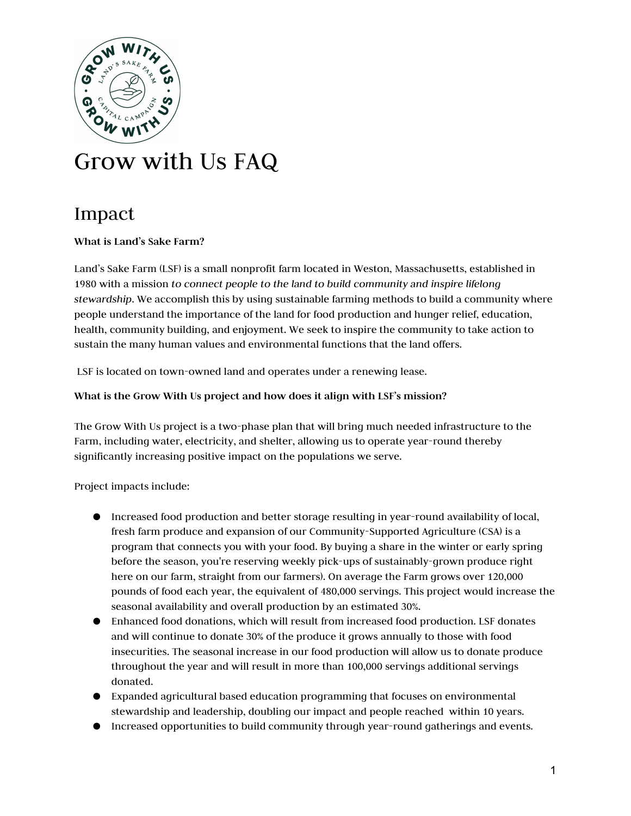

# Grow with Us FAQ

# Impact

# What is Land's Sake Farm?

Land's Sake Farm (LSF) is a small nonprofit farm located in Weston, Massachusetts, established in 1980 with a mission to connect people to the land to build community and inspire lifelong stewardship. We accomplish this by using sustainable farming methods to build a community where people understand the importance of the land for food production and hunger relief, education, health, community building, and enjoyment. We seek to inspire the community to take action to sustain the many human values and environmental functions that the land offers.

LSF is located on town-owned land and operates under a renewing lease.

## What is the Grow With Us project and how does it align with LSF's mission?

The Grow With Us project is a two-phase plan that will bring much needed infrastructure to the Farm, including water, electricity, and shelter, allowing us to operate year-round thereby significantly increasing positive impact on the populations we serve.

Project impacts include:

- Increased food production and better storage resulting in year-round availability of local, fresh farm produce and expansion of our Community-Supported Agriculture (CSA) is a program that connects you with your food. By buying a share in the winter or early spring before the season, you're reserving weekly pick-ups of sustainably-grown produce right here on our farm, straight from our farmers). On average the Farm grows over 120,000 pounds of food each year, the equivalent of 480,000 servings. This project would increase the seasonal availability and overall production by an estimated 30%.
- Enhanced food donations, which will result from increased food production. LSF donates and will continue to donate 30% of the produce it grows annually to those with food insecurities. The seasonal increase in our food production will allow us to donate produce throughout the year and will result in more than 100,000 servings additional servings donated.
- Expanded agricultural based education programming that focuses on environmental stewardship and leadership, doubling our impact and people reached within 10 years.
- Increased opportunities to build community through year-round gatherings and events.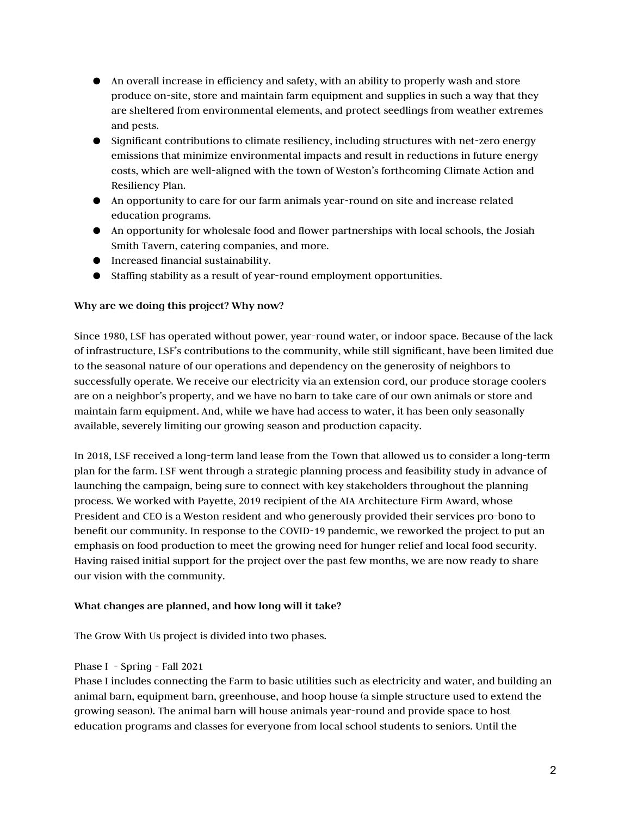- An overall increase in efficiency and safety, with an ability to properly wash and store produce on-site, store and maintain farm equipment and supplies in such a way that they are sheltered from environmental elements, and protect seedlings from weather extremes and pests.
- Significant contributions to climate resiliency, including structures with net-zero energy emissions that minimize environmental impacts and result in reductions in future energy costs, which are well-aligned with the town of Weston's forthcoming Climate Action and Resiliency Plan.
- An opportunity to care for our farm animals year-round on site and increase related education programs.
- An opportunity for wholesale food and flower partnerships with local schools, the Josiah Smith Tavern, catering companies, and more.
- Increased financial sustainability.
- Staffing stability as a result of year-round employment opportunities.

# Why are we doing this project? Why now?

Since 1980, LSF has operated without power, year-round water, or indoor space. Because of the lack of infrastructure, LSF's contributions to the community, while still significant, have been limited due to the seasonal nature of our operations and dependency on the generosity of neighbors to successfully operate. We receive our electricity via an extension cord, our produce storage coolers are on a neighbor's property, and we have no barn to take care of our own animals or store and maintain farm equipment. And, while we have had access to water, it has been only seasonally available, severely limiting our growing season and production capacity.

In 2018, LSF received a long-term land lease from the Town that allowed us to consider a long-term plan for the farm. LSF went through a strategic planning process and feasibility study in advance of launching the campaign, being sure to connect with key stakeholders throughout the planning process. We worked with Payette, 2019 recipient of the AIA Architecture Firm Award, whose President and CEO is a Weston resident and who generously provided their services pro-bono to benefit our community. In response to the COVID-19 pandemic, we reworked the project to put an emphasis on food production to meet the growing need for hunger relief and local food security. Having raised initial support for the project over the past few months, we are now ready to share our vision with the community.

## What changes are planned, and how long will it take?

The Grow With Us project is divided into two phases.

## Phase I - Spring - Fall 2021

Phase I includes connecting the Farm to basic utilities such as electricity and water, and building an animal barn, equipment barn, greenhouse, and hoop house (a simple structure used to extend the growing season). The animal barn will house animals year-round and provide space to host education programs and classes for everyone from local school students to seniors. Until the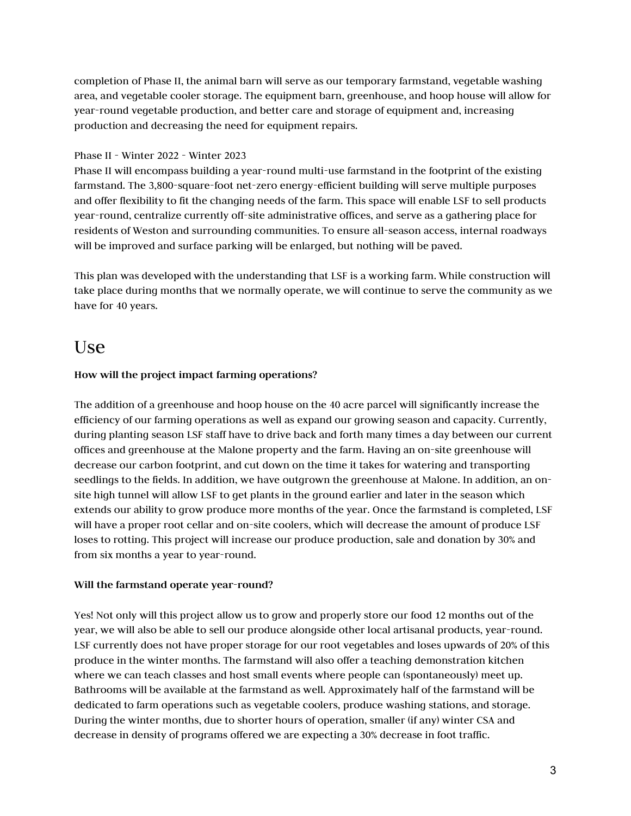completion of Phase II, the animal barn will serve as our temporary farmstand, vegetable washing area, and vegetable cooler storage. The equipment barn, greenhouse, and hoop house will allow for year-round vegetable production, and better care and storage of equipment and, increasing production and decreasing the need for equipment repairs.

# Phase II - Winter 2022 - Winter 2023

Phase II will encompass building a year-round multi-use farmstand in the footprint of the existing farmstand. The 3,800-square-foot net-zero energy-efficient building will serve multiple purposes and offer flexibility to fit the changing needs of the farm. This space will enable LSF to sell products year-round, centralize currently off-site administrative offices, and serve as a gathering place for residents of Weston and surrounding communities. To ensure all-season access, internal roadways will be improved and surface parking will be enlarged, but nothing will be paved.

This plan was developed with the understanding that LSF is a working farm. While construction will take place during months that we normally operate, we will continue to serve the community as we have for 40 years.

# Use

# How will the project impact farming operations?

The addition of a greenhouse and hoop house on the 40 acre parcel will significantly increase the efficiency of our farming operations as well as expand our growing season and capacity. Currently, during planting season LSF staff have to drive back and forth many times a day between our current offices and greenhouse at the Malone property and the farm. Having an on-site greenhouse will decrease our carbon footprint, and cut down on the time it takes for watering and transporting seedlings to the fields. In addition, we have outgrown the greenhouse at Malone. In addition, an onsite high tunnel will allow LSF to get plants in the ground earlier and later in the season which extends our ability to grow produce more months of the year. Once the farmstand is completed, LSF will have a proper root cellar and on-site coolers, which will decrease the amount of produce LSF loses to rotting. This project will increase our produce production, sale and donation by 30% and from six months a year to year-round.

## Will the farmstand operate year-round?

Yes! Not only will this project allow us to grow and properly store our food 12 months out of the year, we will also be able to sell our produce alongside other local artisanal products, year-round. LSF currently does not have proper storage for our root vegetables and loses upwards of 20% of this produce in the winter months. The farmstand will also offer a teaching demonstration kitchen where we can teach classes and host small events where people can (spontaneously) meet up. Bathrooms will be available at the farmstand as well. Approximately half of the farmstand will be dedicated to farm operations such as vegetable coolers, produce washing stations, and storage. During the winter months, due to shorter hours of operation, smaller (if any) winter CSA and decrease in density of programs offered we are expecting a 30% decrease in foot traffic.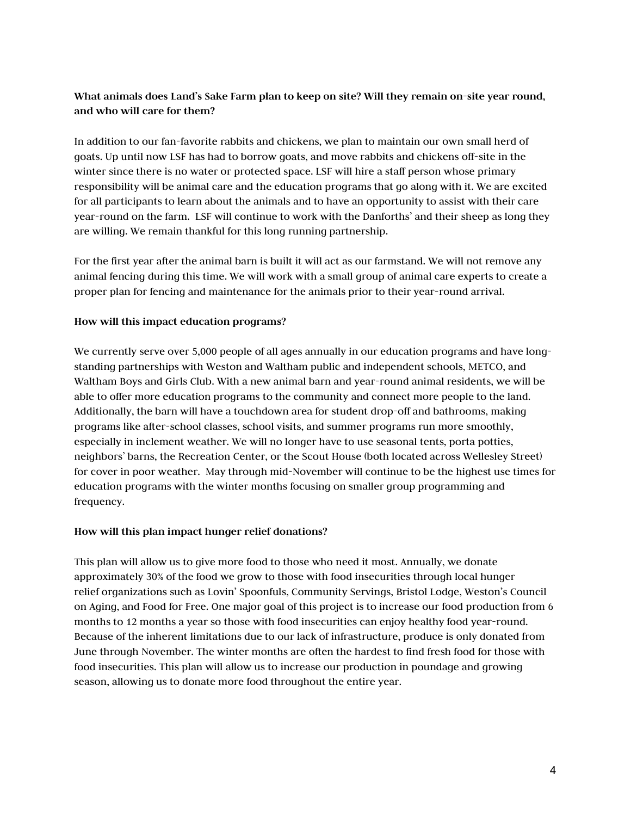# What animals does Land's Sake Farm plan to keep on site? Will they remain on-site year round, and who will care for them?

In addition to our fan-favorite rabbits and chickens, we plan to maintain our own small herd of goats. Up until now LSF has had to borrow goats, and move rabbits and chickens off-site in the winter since there is no water or protected space. LSF will hire a staff person whose primary responsibility will be animal care and the education programs that go along with it. We are excited for all participants to learn about the animals and to have an opportunity to assist with their care year-round on the farm. LSF will continue to work with the Danforths' and their sheep as long they are willing. We remain thankful for this long running partnership.

For the first year after the animal barn is built it will act as our farmstand. We will not remove any animal fencing during this time. We will work with a small group of animal care experts to create a proper plan for fencing and maintenance for the animals prior to their year-round arrival.

# How will this impact education programs?

We currently serve over 5,000 people of all ages annually in our education programs and have longstanding partnerships with Weston and Waltham public and independent schools, METCO, and Waltham Boys and Girls Club. With a new animal barn and year-round animal residents, we will be able to offer more education programs to the community and connect more people to the land. Additionally, the barn will have a touchdown area for student drop-off and bathrooms, making programs like after-school classes, school visits, and summer programs run more smoothly, especially in inclement weather. We will no longer have to use seasonal tents, porta potties, neighbors' barns, the Recreation Center, or the Scout House (both located across Wellesley Street) for cover in poor weather. May through mid-November will continue to be the highest use times for education programs with the winter months focusing on smaller group programming and frequency.

## How will this plan impact hunger relief donations?

This plan will allow us to give more food to those who need it most. Annually, we donate approximately 30% of the food we grow to those with food insecurities through local hunger relief organizations such as Lovin' Spoonfuls, Community Servings, Bristol Lodge, Weston's Council on Aging, and Food for Free. One major goal of this project is to increase our food production from 6 months to 12 months a year so those with food insecurities can enjoy healthy food year-round. Because of the inherent limitations due to our lack of infrastructure, produce is only donated from June through November. The winter months are often the hardest to find fresh food for those with food insecurities. This plan will allow us to increase our production in poundage and growing season, allowing us to donate more food throughout the entire year.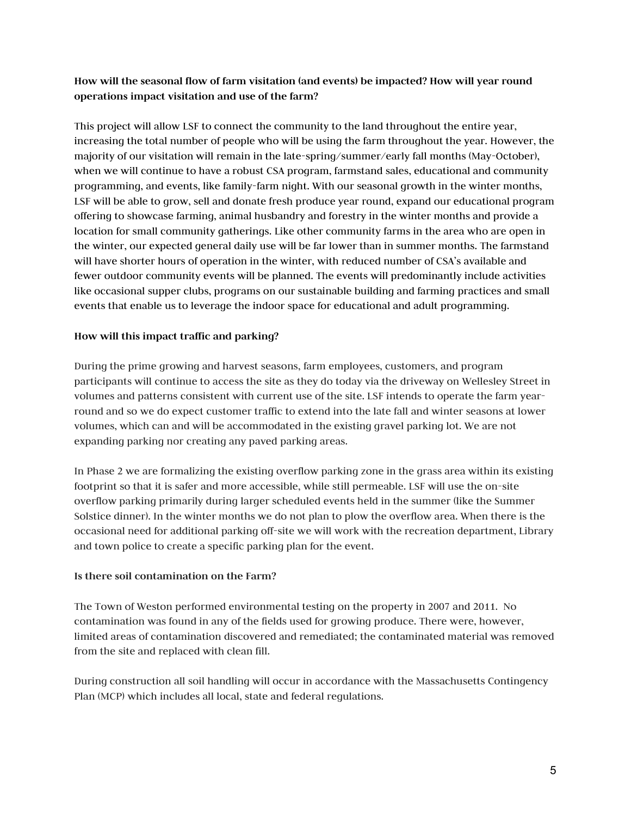# How will the seasonal flow of farm visitation (and events) be impacted? How will year round operations impact visitation and use of the farm?

This project will allow LSF to connect the community to the land throughout the entire year, increasing the total number of people who will be using the farm throughout the year. However, the majority of our visitation will remain in the late-spring/summer/early fall months (May-October), when we will continue to have a robust CSA program, farmstand sales, educational and community programming, and events, like family-farm night. With our seasonal growth in the winter months, LSF will be able to grow, sell and donate fresh produce year round, expand our educational program offering to showcase farming, animal husbandry and forestry in the winter months and provide a location for small community gatherings. Like other community farms in the area who are open in the winter, our expected general daily use will be far lower than in summer months. The farmstand will have shorter hours of operation in the winter, with reduced number of CSA's available and fewer outdoor community events will be planned. The events will predominantly include activities like occasional supper clubs, programs on our sustainable building and farming practices and small events that enable us to leverage the indoor space for educational and adult programming.

## How will this impact traffic and parking?

During the prime growing and harvest seasons, farm employees, customers, and program participants will continue to access the site as they do today via the driveway on Wellesley Street in volumes and patterns consistent with current use of the site. LSF intends to operate the farm yearround and so we do expect customer traffic to extend into the late fall and winter seasons at lower volumes, which can and will be accommodated in the existing gravel parking lot. We are not expanding parking nor creating any paved parking areas.

In Phase 2 we are formalizing the existing overflow parking zone in the grass area within its existing footprint so that it is safer and more accessible, while still permeable. LSF will use the on-site overflow parking primarily during larger scheduled events held in the summer (like the Summer Solstice dinner). In the winter months we do not plan to plow the overflow area. When there is the occasional need for additional parking off-site we will work with the recreation department, Library and town police to create a specific parking plan for the event.

#### Is there soil contamination on the Farm?

The Town of Weston performed environmental testing on the property in 2007 and 2011. No contamination was found in any of the fields used for growing produce. There were, however, limited areas of contamination discovered and remediated; the contaminated material was removed from the site and replaced with clean fill.

During construction all soil handling will occur in accordance with the Massachusetts Contingency Plan (MCP) which includes all local, state and federal regulations.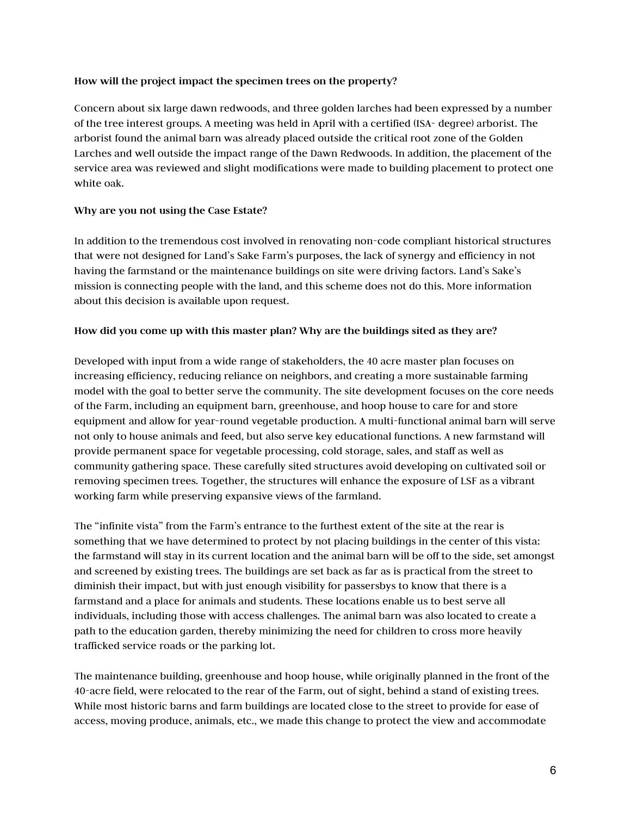## How will the project impact the specimen trees on the property?

Concern about six large dawn redwoods, and three golden larches had been expressed by a number of the tree interest groups. A meeting was held in April with a certified (ISA- degree) arborist. The arborist found the animal barn was already placed outside the critical root zone of the Golden Larches and well outside the impact range of the Dawn Redwoods. In addition, the placement of the service area was reviewed and slight modifications were made to building placement to protect one white oak.

#### Why are you not using the Case Estate?

In addition to the tremendous cost involved in renovating non-code compliant historical structures that were not designed for Land's Sake Farm's purposes, the lack of synergy and efficiency in not having the farmstand or the maintenance buildings on site were driving factors. Land's Sake's mission is connecting people with the land, and this scheme does not do this. More information about this decision is available upon request.

#### How did you come up with this master plan? Why are the buildings sited as they are?

Developed with input from a wide range of stakeholders, the 40 acre master plan focuses on increasing efficiency, reducing reliance on neighbors, and creating a more sustainable farming model with the goal to better serve the community. The site development focuses on the core needs of the Farm, including an equipment barn, greenhouse, and hoop house to care for and store equipment and allow for year-round vegetable production. A multi-functional animal barn will serve not only to house animals and feed, but also serve key educational functions. A new farmstand will provide permanent space for vegetable processing, cold storage, sales, and staff as well as community gathering space. These carefully sited structures avoid developing on cultivated soil or removing specimen trees. Together, the structures will enhance the exposure of LSF as a vibrant working farm while preserving expansive views of the farmland.

The "infinite vista" from the Farm's entrance to the furthest extent of the site at the rear is something that we have determined to protect by not placing buildings in the center of this vista: the farmstand will stay in its current location and the animal barn will be off to the side, set amongst and screened by existing trees. The buildings are set back as far as is practical from the street to diminish their impact, but with just enough visibility for passersbys to know that there is a farmstand and a place for animals and students. These locations enable us to best serve all individuals, including those with access challenges. The animal barn was also located to create a path to the education garden, thereby minimizing the need for children to cross more heavily trafficked service roads or the parking lot.

The maintenance building, greenhouse and hoop house, while originally planned in the front of the 40-acre field, were relocated to the rear of the Farm, out of sight, behind a stand of existing trees. While most historic barns and farm buildings are located close to the street to provide for ease of access, moving produce, animals, etc., we made this change to protect the view and accommodate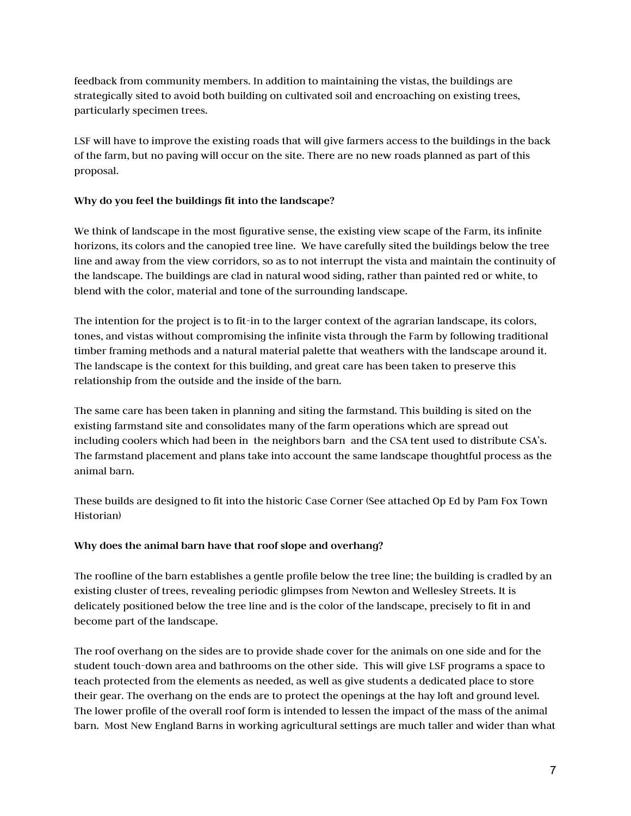feedback from community members. In addition to maintaining the vistas, the buildings are strategically sited to avoid both building on cultivated soil and encroaching on existing trees, particularly specimen trees.

LSF will have to improve the existing roads that will give farmers access to the buildings in the back of the farm, but no paving will occur on the site. There are no new roads planned as part of this proposal.

# Why do you feel the buildings fit into the landscape?

We think of landscape in the most figurative sense, the existing view scape of the Farm, its infinite horizons, its colors and the canopied tree line. We have carefully sited the buildings below the tree line and away from the view corridors, so as to not interrupt the vista and maintain the continuity of the landscape. The buildings are clad in natural wood siding, rather than painted red or white, to blend with the color, material and tone of the surrounding landscape.

The intention for the project is to fit-in to the larger context of the agrarian landscape, its colors, tones, and vistas without compromising the infinite vista through the Farm by following traditional timber framing methods and a natural material palette that weathers with the landscape around it. The landscape is the context for this building, and great care has been taken to preserve this relationship from the outside and the inside of the barn.

The same care has been taken in planning and siting the farmstand. This building is sited on the existing farmstand site and consolidates many of the farm operations which are spread out including coolers which had been in the neighbors barn and the CSA tent used to distribute CSA's. The farmstand placement and plans take into account the same landscape thoughtful process as the animal barn.

These builds are designed to fit into the historic Case Corner (See attached Op Ed by Pam Fox Town Historian)

## Why does the animal barn have that roof slope and overhang?

The roofline of the barn establishes a gentle profile below the tree line; the building is cradled by an existing cluster of trees, revealing periodic glimpses from Newton and Wellesley Streets. It is delicately positioned below the tree line and is the color of the landscape, precisely to fit in and become part of the landscape.

The roof overhang on the sides are to provide shade cover for the animals on one side and for the student touch-down area and bathrooms on the other side. This will give LSF programs a space to teach protected from the elements as needed, as well as give students a dedicated place to store their gear. The overhang on the ends are to protect the openings at the hay loft and ground level. The lower profile of the overall roof form is intended to lessen the impact of the mass of the animal barn. Most New England Barns in working agricultural settings are much taller and wider than what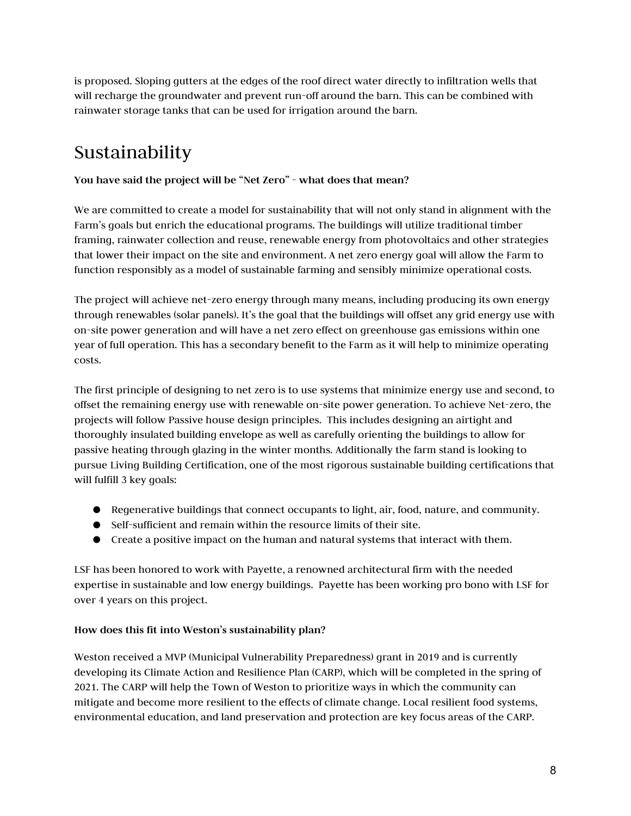is proposed. Sloping gutters at the edges of the roof direct water directly to infiltration wells that will recharge the groundwater and prevent run-off around the barn. This can be combined with rainwater storage tanks that can be used for irrigation around the barn.

# Sustainability

# You have said the project will be "Net Zero" - what does that mean?

We are committed to create a model for sustainability that will not only stand in alignment with the Farm's goals but enrich the educational programs. The buildings will utilize traditional timber framing, rainwater collection and reuse, renewable energy from photovoltaics and other strategies that lower their impact on the site and environment. A net zero energy goal will allow the Farm to function responsibly as a model of sustainable farming and sensibly minimize operational costs.

The project will achieve net-zero energy through many means, including producing its own energy through renewables (solar panels). It's the goal that the buildings will offset any grid energy use with on-site power generation and will have a net zero effect on greenhouse gas emissions within one year of full operation. This has a secondary benefit to the Farm as it will help to minimize operating costs.

The first principle of designing to net zero is to use systems that minimize energy use and second, to offset the remaining energy use with renewable on-site power generation. To achieve Net-zero, the projects will follow Passive house design principles. This includes designing an airtight and thoroughly insulated building envelope as well as carefully orienting the buildings to allow for passive heating through glazing in the winter months. Additionally the farm stand is looking to pursue Living Building Certification, one of the most rigorous sustainable building certifications that will fulfill 3 key goals:

- Regenerative buildings that connect occupants to light, air, food, nature, and community.
- Self-sufficient and remain within the resource limits of their site.
- Create a positive impact on the human and natural systems that interact with them.

LSF has been honored to work with Payette, a renowned architectural firm with the needed expertise in sustainable and low energy buildings. Payette has been working pro bono with LSF for over 4 years on this project.

# How does this fit into Weston's sustainability plan?

Weston received a MVP (Municipal Vulnerability Preparedness) grant in 2019 and is currently developing its Climate Action and Resilience Plan (CARP), which will be completed in the spring of 2021. The CARP will help the Town of Weston to prioritize ways in which the community can mitigate and become more resilient to the effects of climate change. Local resilient food systems, environmental education, and land preservation and protection are key focus areas of the CARP.